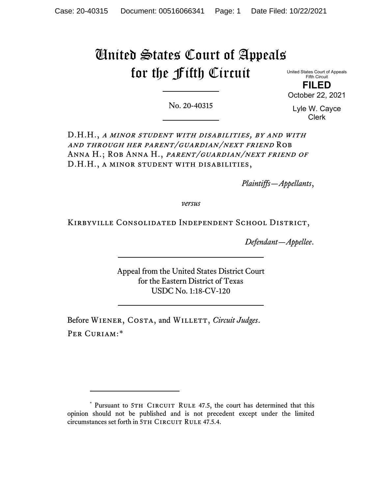# United States Court of Appeals for the Fifth Circuit

United States Court of Appeals Fifth Circuit **FILED** October 22, 2021

No. 20-40315

Lyle W. Cayce Clerk

D.H.H., A MINOR STUDENT WITH DISABILITIES, BY AND WITH and through her parent/guardian/next friend Rob ANNA H.; ROB ANNA H., PARENT/GUARDIAN/NEXT FRIEND OF D.H.H., a minor student with disabilities,

*Plaintiffs—Appellants*,

*versus*

Kirbyville Consolidated Independent School District,

*Defendant—Appellee*.

Appeal from the United States District Court for the Eastern District of Texas USDC No. 1:18-CV-120

Before WIENER, COSTA, and WILLETT, *Circuit Judges*. Per Curiam:[\\*](#page-0-0)

<span id="page-0-0"></span><sup>\*</sup> Pursuant to 5TH CIRCUIT RULE 47.5, the court has determined that this opinion should not be published and is not precedent except under the limited circumstances set forth in 5TH CIRCUIT RULE 47.5.4.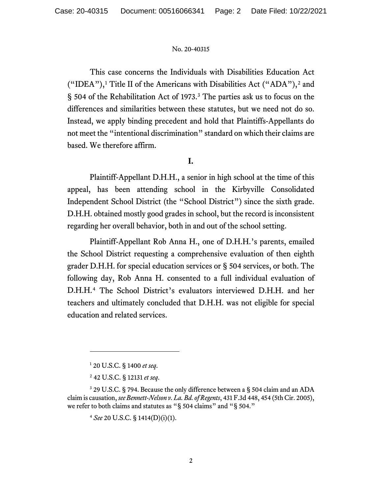This case concerns the Individuals with Disabilities Education Act ("IDEA"),<sup>[1](#page-1-0)</sup> Title II of the Americans with Disabilities Act ("ADA"),<sup>[2](#page-1-1)</sup> and § 504 of the Rehabilitation Act of 1973. [3](#page-1-2) The parties ask us to focus on the differences and similarities between these statutes, but we need not do so. Instead, we apply binding precedent and hold that Plaintiffs-Appellants do not meet the "intentional discrimination" standard on which their claims are based. We therefore affirm.

# **I.**

Plaintiff-Appellant D.H.H., a senior in high school at the time of this appeal, has been attending school in the Kirbyville Consolidated Independent School District (the "School District") since the sixth grade. D.H.H. obtained mostly good grades in school, but the record is inconsistent regarding her overall behavior, both in and out of the school setting.

Plaintiff-Appellant Rob Anna H., one of D.H.H.'s parents, emailed the School District requesting a comprehensive evaluation of then eighth grader D.H.H. for special education services or § 504 services, or both. The following day, Rob Anna H. consented to a full individual evaluation of D.H.H.[4](#page-1-3) The School District's evaluators interviewed D.H.H. and her teachers and ultimately concluded that D.H.H. was not eligible for special education and related services.

<sup>1</sup> 20 U.S.C. § 1400 *et seq*.

<sup>2</sup> 42 U.S.C. § 12131 *et seq*.

<span id="page-1-3"></span><span id="page-1-2"></span><span id="page-1-1"></span><span id="page-1-0"></span><sup>&</sup>lt;sup>3</sup> 29 U.S.C. § 794. Because the only difference between a § 504 claim and an ADA claim is causation, *see Bennett-Nelson v. La. Bd. of Regents*, 431 F.3d 448, 454 (5th Cir. 2005), we refer to both claims and statutes as "§ 504 claims" and "§ 504."

<sup>4</sup> *See* 20 U.S.C. § 1414(D)(i)(1).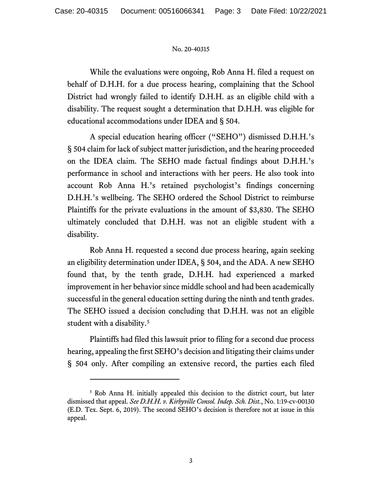While the evaluations were ongoing, Rob Anna H. filed a request on behalf of D.H.H. for a due process hearing, complaining that the School District had wrongly failed to identify D.H.H. as an eligible child with a disability. The request sought a determination that D.H.H. was eligible for educational accommodations under IDEA and § 504.

A special education hearing officer ("SEHO") dismissed D.H.H.'s § 504 claim for lack of subject matter jurisdiction, and the hearing proceeded on the IDEA claim. The SEHO made factual findings about D.H.H.'s performance in school and interactions with her peers. He also took into account Rob Anna H.'s retained psychologist's findings concerning D.H.H.'s wellbeing. The SEHO ordered the School District to reimburse Plaintiffs for the private evaluations in the amount of \$3,830. The SEHO ultimately concluded that D.H.H. was not an eligible student with a disability.

Rob Anna H. requested a second due process hearing, again seeking an eligibility determination under IDEA, § 504, and the ADA. A new SEHO found that, by the tenth grade, D.H.H. had experienced a marked improvement in her behavior since middle school and had been academically successful in the general education setting during the ninth and tenth grades. The SEHO issued a decision concluding that D.H.H. was not an eligible student with a disability.<sup>[5](#page-2-0)</sup>

Plaintiffs had filed this lawsuit prior to filing for a second due process hearing, appealing the first SEHO's decision and litigating their claims under § 504 only. After compiling an extensive record, the parties each filed

<span id="page-2-0"></span><sup>5</sup> Rob Anna H. initially appealed this decision to the district court, but later dismissed that appeal. *See D.H.H. v. Kirbyville Consol. Indep. Sch. Dist.*, No. 1:19-cv-00130 (E.D. Tex. Sept. 6, 2019). The second SEHO's decision is therefore not at issue in this appeal.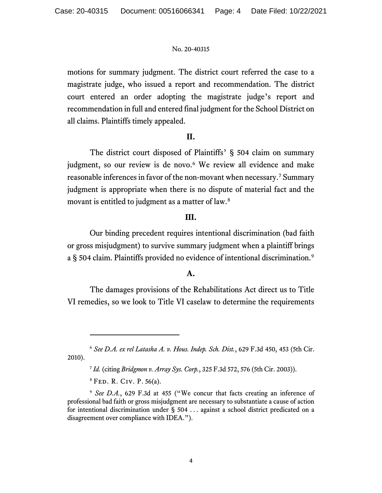motions for summary judgment. The district court referred the case to a magistrate judge, who issued a report and recommendation. The district court entered an order adopting the magistrate judge's report and recommendation in full and entered final judgment for the School District on all claims. Plaintiffs timely appealed.

## **II.**

The district court disposed of Plaintiffs' § 504 claim on summary judgment, so our review is de novo.<sup>[6](#page-3-0)</sup> We review all evidence and make reasonable inferences in favor of the non-movant when necessary. [7](#page-3-1) Summary judgment is appropriate when there is no dispute of material fact and the movant is entitled to judgment as a matter of law.<sup>[8](#page-3-2)</sup>

## **III.**

Our binding precedent requires intentional discrimination (bad faith or gross misjudgment) to survive summary judgment when a plaintiff brings a § 504 claim. Plaintiffs provided no evidence of intentional discrimination. [9](#page-3-3)

## **A.**

The damages provisions of the Rehabilitations Act direct us to Title VI remedies, so we look to Title VI caselaw to determine the requirements

<sup>8</sup> Fed. R. Civ. P. 56(a).

<span id="page-3-1"></span><span id="page-3-0"></span><sup>6</sup> *See D.A. ex rel Latasha A. v. Hous. Indep. Sch. Dist.*, 629 F.3d 450, 453 (5th Cir. 2010).

<sup>7</sup> *Id.* (citing *Bridgmon v. Array Sys. Corp.*, 325 F.3d 572, 576 (5th Cir. 2003)).

<span id="page-3-3"></span><span id="page-3-2"></span><sup>&</sup>lt;sup>9</sup> See D.A., 629 F.3d at 455 ("We concur that facts creating an inference of professional bad faith or gross misjudgment are necessary to substantiate a cause of action for intentional discrimination under § 504 . . . against a school district predicated on a disagreement over compliance with IDEA.").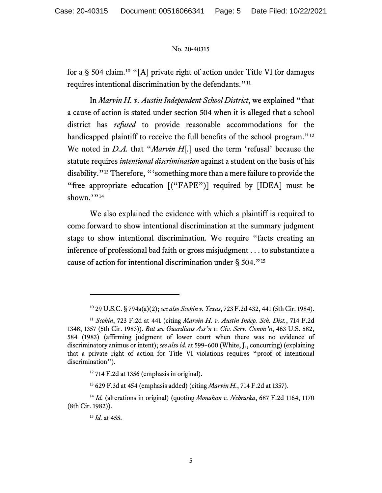for a § 504 claim. [10](#page-4-0) "[A] private right of action under Title VI for damages requires intentional discrimination by the defendants."<sup>[11](#page-4-1)</sup>

In *Marvin H. v. Austin Independent School District*, we explained "that a cause of action is stated under section 504 when it is alleged that a school district has *refused* to provide reasonable accommodations for the handicapped plaintiff to receive the full benefits of the school program."<sup>[12](#page-4-2)</sup> We noted in *D.A.* that "*Marvin H*[*.*] used the term 'refusal' because the statute requires *intentional discrimination* against a student on the basis of his disability."[13](#page-4-3) Therefore, "'something more than a mere failure to provide the "free appropriate education [("FAPE")] required by [IDEA] must be shown.""[14](#page-4-4)

We also explained the evidence with which a plaintiff is required to come forward to show intentional discrimination at the summary judgment stage to show intentional discrimination. We require "facts creating an inference of professional bad faith or gross misjudgment . . . to substantiate a cause of action for intentional discrimination under § 504."[15](#page-4-5)

<sup>10</sup> 29 U.S.C. § 794a(a)(2); *see also Scokin v. Texas*, 723 F.2d 432, 441 (5th Cir. 1984).

<span id="page-4-1"></span><span id="page-4-0"></span><sup>11</sup> *Scokin*, 723 F.2d at 441 (citing *Marvin H. v. Austin Indep. Sch. Dist.*, 714 F.2d 1348, 1357 (5th Cir. 1983)). *But see Guardians Ass'n v. Civ. Serv. Comm'n*, 463 U.S. 582, 584 (1983) (affirming judgment of lower court when there was no evidence of discriminatory animus or intent); *see also id.* at 599–600 (White, J., concurring) (explaining that a private right of action for Title VI violations requires "proof of intentional discrimination").

 $12$  714 F.2d at 1356 (emphasis in original).

<sup>13</sup> 629 F.3d at 454 (emphasis added) (citing *Marvin H.*, 714 F.2d at 1357).

<span id="page-4-5"></span><span id="page-4-4"></span><span id="page-4-3"></span><span id="page-4-2"></span><sup>14</sup> *Id.* (alterations in original) (quoting *Monahan v. Nebraska*, 687 F.2d 1164, 1170 (8th Cir. 1982)).

<sup>15</sup> *Id.* at 455.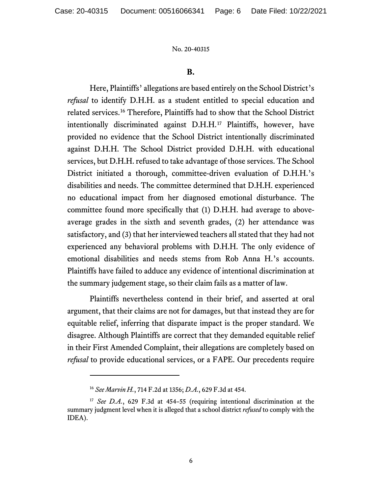#### **B.**

Here, Plaintiffs' allegations are based entirely on the School District's *refusal* to identify D.H.H. as a student entitled to special education and related services. [16](#page-5-0) Therefore, Plaintiffs had to show that the School District intentionally discriminated against D.H.H.[17](#page-5-1) Plaintiffs, however, have provided no evidence that the School District intentionally discriminated against D.H.H. The School District provided D.H.H. with educational services, but D.H.H. refused to take advantage of those services. The School District initiated a thorough, committee-driven evaluation of D.H.H.'s disabilities and needs. The committee determined that D.H.H. experienced no educational impact from her diagnosed emotional disturbance. The committee found more specifically that (1) D.H.H. had average to aboveaverage grades in the sixth and seventh grades, (2) her attendance was satisfactory, and (3) that her interviewed teachers all stated that they had not experienced any behavioral problems with D.H.H. The only evidence of emotional disabilities and needs stems from Rob Anna H.'s accounts. Plaintiffs have failed to adduce any evidence of intentional discrimination at the summary judgement stage, so their claim fails as a matter of law.

Plaintiffs nevertheless contend in their brief, and asserted at oral argument, that their claims are not for damages, but that instead they are for equitable relief, inferring that disparate impact is the proper standard. We disagree. Although Plaintiffs are correct that they demanded equitable relief in their First Amended Complaint, their allegations are completely based on *refusal* to provide educational services, or a FAPE. Our precedents require

<sup>16</sup> *See Marvin H.*, 714 F.2d at 1356; *D.A.*, 629 F.3d at 454.

<span id="page-5-1"></span><span id="page-5-0"></span><sup>&</sup>lt;sup>17</sup> *See D.A.*, 629 F.3d at 454-55 (requiring intentional discrimination at the summary judgment level when it is alleged that a school district *refused* to comply with the IDEA).